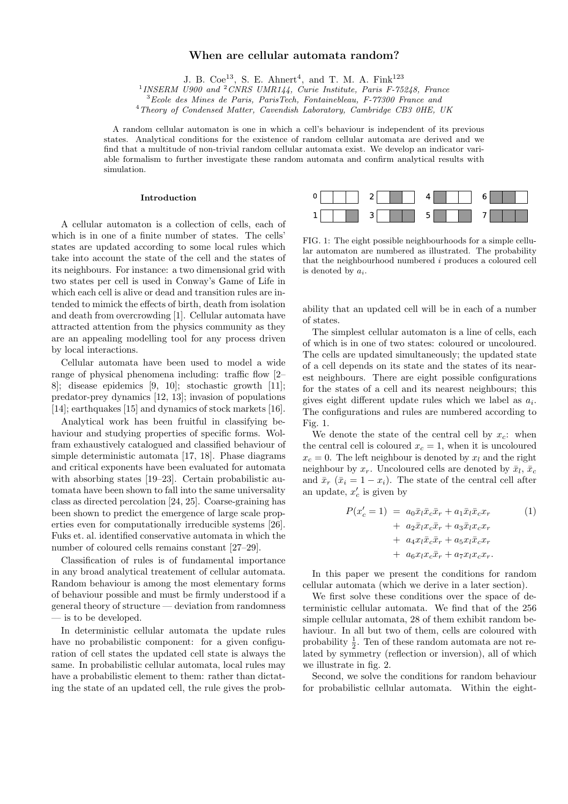# When are cellular automata random?

J. B. Coe<sup>13</sup>, S. E. Ahnert<sup>4</sup>, and T. M. A. Fink<sup>123</sup>

<sup>1</sup> INSERM U900 and  $2 \text{CNRS}$  UMR144, Curie Institute, Paris F-75248, France

<sup>3</sup>Ecole des Mines de Paris, ParisTech, Fontainebleau, F-77300 France and

<sup>4</sup>Theory of Condensed Matter, Cavendish Laboratory, Cambridge CB3 0HE, UK

A random cellular automaton is one in which a cell's behaviour is independent of its previous states. Analytical conditions for the existence of random cellular automata are derived and we find that a multitude of non-trivial random cellular automata exist. We develop an indicator variable formalism to further investigate these random automata and confirm analytical results with simulation.

#### Introduction

A cellular automaton is a collection of cells, each of which is in one of a finite number of states. The cells' states are updated according to some local rules which take into account the state of the cell and the states of its neighbours. For instance: a two dimensional grid with two states per cell is used in Conway's Game of Life in which each cell is alive or dead and transition rules are intended to mimick the effects of birth, death from isolation and death from overcrowding [1]. Cellular automata have attracted attention from the physics community as they are an appealing modelling tool for any process driven by local interactions.

Cellular automata have been used to model a wide range of physical phenomena including: traffic flow [2– 8]; disease epidemics [9, 10]; stochastic growth [11]; predator-prey dynamics [12, 13]; invasion of populations [14]; earthquakes [15] and dynamics of stock markets [16].

Analytical work has been fruitful in classifying behaviour and studying properties of specific forms. Wolfram exhaustively catalogued and classified behaviour of simple deterministic automata [17, 18]. Phase diagrams and critical exponents have been evaluated for automata with absorbing states [19–23]. Certain probabilistic automata have been shown to fall into the same universality class as directed percolation [24, 25]. Coarse-graining has been shown to predict the emergence of large scale properties even for computationally irreducible systems [26]. Fuks et. al. identified conservative automata in which the number of coloured cells remains constant [27–29].

Classification of rules is of fundamental importance in any broad analytical treatement of cellular automata. Random behaviour is among the most elementary forms of behaviour possible and must be firmly understood if a general theory of structure — deviation from randomness — is to be developed.

In deterministic cellular automata the update rules have no probabilistic component: for a given configuration of cell states the updated cell state is always the same. In probabilistic cellular automata, local rules may have a probabilistic element to them: rather than dictating the state of an updated cell, the rule gives the prob-



FIG. 1: The eight possible neighbourhoods for a simple cellular automaton are numbered as illustrated. The probability that the neighbourhood numbered i produces a coloured cell is denoted by  $a_i$ .

ability that an updated cell will be in each of a number of states.

The simplest cellular automaton is a line of cells, each of which is in one of two states: coloured or uncoloured. The cells are updated simultaneously; the updated state of a cell depends on its state and the states of its nearest neighbours. There are eight possible configurations for the states of a cell and its nearest neighbours; this gives eight different update rules which we label as  $a_i$ . The configurations and rules are numbered according to Fig. 1.

We denote the state of the central cell by  $x_c$ : when the central cell is coloured  $x_c = 1$ , when it is uncoloured  $x_c = 0$ . The left neighbour is denoted by  $x_l$  and the right neighbour by  $x_r$ . Uncoloured cells are denoted by  $\bar{x}_l$ ,  $\bar{x}_c$ and  $\bar{x}_r$  ( $\bar{x}_i = 1 - x_i$ ). The state of the central cell after an update,  $x'_c$  is given by

$$
P(x'_{c} = 1) = a_{0}\bar{x}_{l}\bar{x}_{c}\bar{x}_{r} + a_{1}\bar{x}_{l}\bar{x}_{c}x_{r}
$$
  
+ 
$$
a_{2}\bar{x}_{l}x_{c}\bar{x}_{r} + a_{3}\bar{x}_{l}x_{c}x_{r}
$$
  
+ 
$$
a_{4}x_{l}\bar{x}_{c}\bar{x}_{r} + a_{5}x_{l}\bar{x}_{c}x_{r}
$$
  
+ 
$$
a_{6}x_{l}x_{c}\bar{x}_{r} + a_{7}x_{l}x_{c}x_{r}.
$$

$$
(1)
$$

In this paper we present the conditions for random cellular automata (which we derive in a later section).

We first solve these conditions over the space of deterministic cellular automata. We find that of the 256 simple cellular automata, 28 of them exhibit random behaviour. In all but two of them, cells are coloured with probability  $\frac{1}{2}$ . Ten of these random automata are not related by symmetry (reflection or inversion), all of which we illustrate in fig. 2.

Second, we solve the conditions for random behaviour for probabilistic cellular automata. Within the eight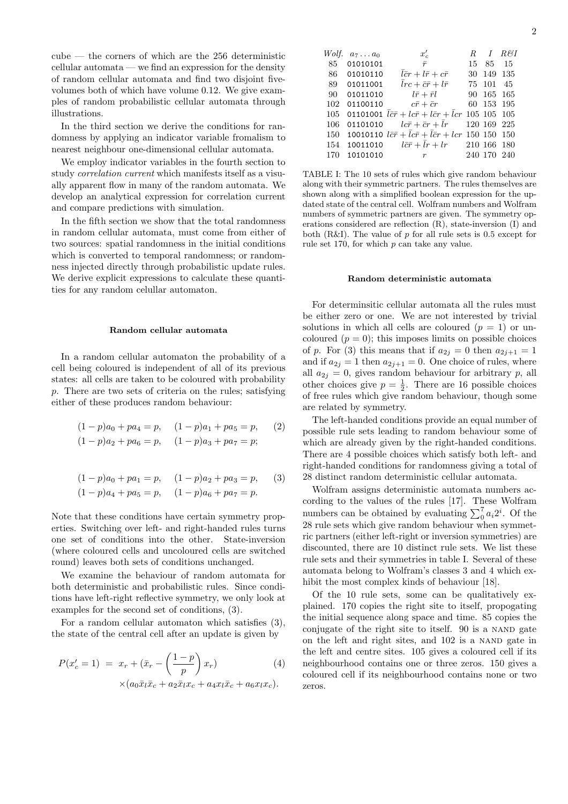$cube$  — the corners of which are the 256 deterministic cellular automata — we find an expression for the density of random cellular automata and find two disjoint fivevolumes both of which have volume 0.12. We give examples of random probabilistic cellular automata through illustrations.

In the third section we derive the conditions for randomness by applying an indicator variable fromalism to nearest neighbour one-dimensional cellular automata.

We employ indicator variables in the fourth section to study correlation current which manifests itself as a visually apparent flow in many of the random automata. We develop an analytical expression for correlation current and compare predictions with simulation.

In the fifth section we show that the total randomness in random cellular automata, must come from either of two sources: spatial randomness in the initial conditions which is converted to temporal randomness; or randomness injected directly through probabilistic update rules. We derive explicit expressions to calculate these quantities for any random celullar automaton.

### Random cellular automata

In a random cellular automaton the probability of a cell being coloured is independent of all of its previous states: all cells are taken to be coloured with probability p. There are two sets of criteria on the rules; satisfying either of these produces random behaviour:

$$
(1-p)a_0 + pa_4 = p, \quad (1-p)a_1 + pa_5 = p, \quad (2)
$$
  

$$
(1-p)a_2 + pa_6 = p, \quad (1-p)a_3 + pa_7 = p;
$$

$$
(1-p)a_0 + pa_1 = p, \quad (1-p)a_2 + pa_3 = p, \quad (3)
$$

$$
(1-p)a_4 + pa_5 = p, \quad (1-p)a_6 + pa_7 = p.
$$

Note that these conditions have certain symmetry properties. Switching over left- and right-handed rules turns one set of conditions into the other. State-inversion (where coloured cells and uncoloured cells are switched round) leaves both sets of conditions unchanged.

We examine the behaviour of random automata for both deterministic and probabilistic rules. Since conditions have left-right reflective symmetry, we only look at examples for the second set of conditions, (3).

For a random cellular automaton which satisfies (3), the state of the central cell after an update is given by

$$
P(x'_{c} = 1) = x_{r} + (\bar{x}_{r} - \left(\frac{1-p}{p}\right)x_{r})
$$
\n
$$
\times (a_{0}\bar{x}_{l}\bar{x}_{c} + a_{2}\bar{x}_{l}x_{c} + a_{4}x_{l}\bar{x}_{c} + a_{6}x_{l}x_{c}).
$$
\n(4)

| Wolf. | $a_7 \ldots a_0$ | $x_c'$                                                                           |             |    | R I R&I    |
|-------|------------------|----------------------------------------------------------------------------------|-------------|----|------------|
| 85    | 01010101         | $\bar{r}$                                                                        | 15          | 85 | 15         |
|       | 86 01010110      | $l\bar{c}r+l\bar{r}+c\bar{r}$                                                    |             |    | 30 149 135 |
|       | 89 01011001      | $\frac{r}{c} + c\overline{r} + l\overline{r}$ 75 101                             |             |    | 45         |
| 90    | 01011010         | $l\bar{r}+\bar{r}l$                                                              |             |    | 90 165 165 |
| 102   | 01100110         | $c\bar{r} + \bar{c}r$ 60 153 195                                                 |             |    |            |
| 105   |                  | 01101001 $l\bar{c}\bar{r}+lc\bar{r}+l\bar{c}r+\bar{c}r$ 105 105 105              |             |    |            |
| 106   |                  | 01101010 $lc\bar{r} + \bar{c}r + lr$ 120 169 225                                 |             |    |            |
| 150   |                  | 10010110 $l\bar{c}\bar{r} + \bar{l}c\bar{r} + \bar{l}\bar{c}r + lcr$ 150 150 150 |             |    |            |
| 154   |                  | 10011010 $l\bar{c}\bar{r} + lr + lr$ 210 166 180                                 |             |    |            |
| 170   | 10101010         | $\boldsymbol{r}$                                                                 | 240 170 240 |    |            |

TABLE I: The 10 sets of rules which give random behaviour along with their symmetric partners. The rules themselves are shown along with a simplified boolean expression for the updated state of the central cell. Wolfram numbers and Wolfram numbers of symmetric partners are given. The symmetry operations considered are reflection (R), state-inversion (I) and both (R&I). The value of  $p$  for all rule sets is 0.5 except for rule set 170, for which  $p$  can take any value.

### Random deterministic automata

For determinsitic cellular automata all the rules must be either zero or one. We are not interested by trivial solutions in which all cells are coloured  $(p = 1)$  or uncoloured  $(p = 0)$ ; this imposes limits on possible choices of p. For (3) this means that if  $a_{2j} = 0$  then  $a_{2j+1} = 1$ and if  $a_{2i} = 1$  then  $a_{2i+1} = 0$ . One choice of rules, where all  $a_{2i} = 0$ , gives random behaviour for arbitrary p, all other choices give  $p = \frac{1}{2}$ . There are 16 possible choices of free rules which give random behaviour, though some are related by symmetry.

The left-handed conditions provide an equal number of possible rule sets leading to random behaviour some of which are already given by the right-handed conditions. There are 4 possible choices which satisfy both left- and right-handed conditions for randomness giving a total of 28 distinct random deterministic cellular automata.

Wolfram assigns deterministic automata numbers according to the values of the rules [17]. These Wolfram numbers can be obtained by evaluating  $\sum_0^7 a_i 2^i$ . Of the 28 rule sets which give random behaviour when symmetric partners (either left-right or inversion symmetries) are discounted, there are 10 distinct rule sets. We list these rule sets and their symmetries in table I. Several of these automata belong to Wolfram's classes 3 and 4 which exhibit the most complex kinds of behaviour [18].

Of the 10 rule sets, some can be qualitatively explained. 170 copies the right site to itself, propogating the initial sequence along space and time. 85 copies the conjugate of the right site to itself. 90 is a NAND gate on the left and right sites, and 102 is a nand gate in the left and centre sites. 105 gives a coloured cell if its neighbourhood contains one or three zeros. 150 gives a coloured cell if its neighbourhood contains none or two zeros.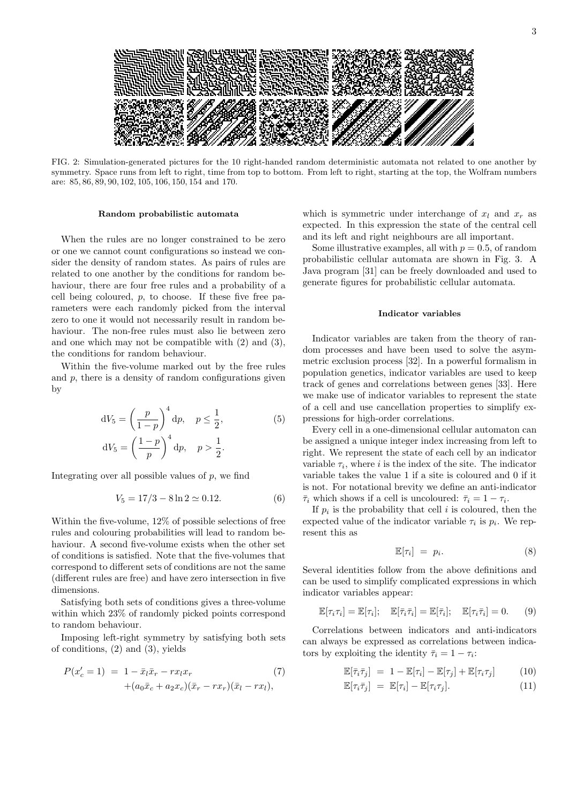

FIG. 2: Simulation-generated pictures for the 10 right-handed random deterministic automata not related to one another by symmetry. Space runs from left to right, time from top to bottom. From left to right, starting at the top, the Wolfram numbers are: 85, 86, 89, 90, 102, 105, 106, 150, 154 and 170.

### Random probabilistic automata

When the rules are no longer constrained to be zero or one we cannot count configurations so instead we consider the density of random states. As pairs of rules are related to one another by the conditions for random behaviour, there are four free rules and a probability of a cell being coloured,  $p$ , to choose. If these five free parameters were each randomly picked from the interval zero to one it would not necessarily result in random behaviour. The non-free rules must also lie between zero and one which may not be compatible with (2) and (3), the conditions for random behaviour.

Within the five-volume marked out by the free rules and  $p$ , there is a density of random configurations given by

$$
dV_5 = \left(\frac{p}{1-p}\right)^4 dp, \quad p \le \frac{1}{2},
$$
  
\n
$$
dV_5 = \left(\frac{1-p}{p}\right)^4 dp, \quad p > \frac{1}{2}.
$$
\n(5)

Integrating over all possible values of  $p$ , we find

$$
V_5 = 17/3 - 8\ln 2 \simeq 0.12. \tag{6}
$$

Within the five-volume, 12% of possible selections of free rules and colouring probabilities will lead to random behaviour. A second five-volume exists when the other set of conditions is satisfied. Note that the five-volumes that correspond to different sets of conditions are not the same (different rules are free) and have zero intersection in five dimensions.

Satisfying both sets of conditions gives a three-volume within which 23% of randomly picked points correspond to random behaviour.

Imposing left-right symmetry by satisfying both sets of conditions, (2) and (3), yields

$$
P(x'_{c} = 1) = 1 - \bar{x}_{l}\bar{x}_{r} - rx_{l}x_{r}
$$
  
+(a<sub>0</sub> $\bar{x}_{c}$  + a<sub>2</sub> $x_{c}$ )( $\bar{x}_{r}$  - rx<sub>r</sub>)( $\bar{x}_{l}$  - rx<sub>l</sub>), (7)

which is symmetric under interchange of  $x_l$  and  $x_r$  as expected. In this expression the state of the central cell and its left and right neighbours are all important.

Some illustrative examples, all with  $p = 0.5$ , of random probabilistic cellular automata are shown in Fig. 3. A Java program [31] can be freely downloaded and used to generate figures for probabilistic cellular automata.

## Indicator variables

Indicator variables are taken from the theory of random processes and have been used to solve the asymmetric exclusion process [32]. In a powerful formalism in population genetics, indicator variables are used to keep track of genes and correlations between genes [33]. Here we make use of indicator variables to represent the state of a cell and use cancellation properties to simplify expressions for high-order correlations.

Every cell in a one-dimensional cellular automaton can be assigned a unique integer index increasing from left to right. We represent the state of each cell by an indicator variable  $\tau_i$ , where i is the index of the site. The indicator variable takes the value 1 if a site is coloured and 0 if it is not. For notational brevity we define an anti-indicator  $\bar{\tau}_i$  which shows if a cell is uncoloured:  $\bar{\tau}_i = 1 - \tau_i$ .

If  $p_i$  is the probability that cell i is coloured, then the expected value of the indicator variable  $\tau_i$  is  $p_i$ . We represent this as

$$
\mathbb{E}[\tau_i] = p_i. \tag{8}
$$

Several identities follow from the above definitions and can be used to simplify complicated expressions in which indicator variables appear:

$$
\mathbb{E}[\tau_i \tau_i] = \mathbb{E}[\tau_i]; \quad \mathbb{E}[\bar{\tau}_i \bar{\tau}_i] = \mathbb{E}[\bar{\tau}_i]; \quad \mathbb{E}[\tau_i \bar{\tau}_i] = 0. \quad (9)
$$

Correlations between indicators and anti-indicators can always be expressed as correlations between indicators by exploiting the identity  $\bar{\tau}_i = 1 - \tau_i$ :

$$
\mathbb{E}[\bar{\tau}_i \bar{\tau}_j] = 1 - \mathbb{E}[\tau_i] - \mathbb{E}[\tau_j] + \mathbb{E}[\tau_i \tau_j]
$$
(10)

$$
\mathbb{E}[\tau_i \bar{\tau}_j] = \mathbb{E}[\tau_i] - \mathbb{E}[\tau_i \tau_j]. \tag{11}
$$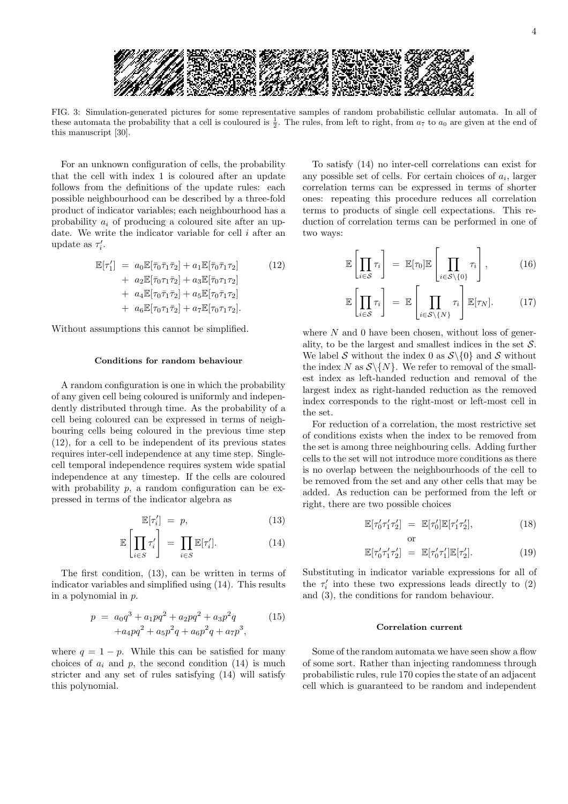

FIG. 3: Simulation-generated pictures for some representative samples of random probabilistic cellular automata. In all of these automata the probability that a cell is couloured is  $\frac{1}{2}$ . The rules, from left to right, from  $a_7$  to  $a_0$  are given at the end of this manuscript [30].

For an unknown configuration of cells, the probability that the cell with index 1 is coloured after an update follows from the definitions of the update rules: each possible neighbourhood can be described by a three-fold product of indicator variables; each neighbourhood has a probability  $a_i$  of producing a coloured site after an update. We write the indicator variable for cell  $i$  after an update as  $\tau_i'$ .

$$
\mathbb{E}[\tau'_1] = a_0 \mathbb{E}[\bar{\tau}_0 \bar{\tau}_1 \bar{\tau}_2] + a_1 \mathbb{E}[\bar{\tau}_0 \bar{\tau}_1 \tau_2]
$$
(12)  
+ 
$$
a_2 \mathbb{E}[\bar{\tau}_0 \tau_1 \bar{\tau}_2] + a_3 \mathbb{E}[\bar{\tau}_0 \tau_1 \tau_2]
$$
  
+ 
$$
a_4 \mathbb{E}[\tau_0 \bar{\tau}_1 \bar{\tau}_2] + a_5 \mathbb{E}[\tau_0 \bar{\tau}_1 \tau_2]
$$
  
+ 
$$
a_6 \mathbb{E}[\tau_0 \tau_1 \bar{\tau}_2] + a_7 \mathbb{E}[\tau_0 \tau_1 \tau_2].
$$

Without assumptions this cannot be simplified.

#### Conditions for random behaviour

A random configuration is one in which the probability of any given cell being coloured is uniformly and independently distributed through time. As the probability of a cell being coloured can be expressed in terms of neighbouring cells being coloured in the previous time step (12), for a cell to be independent of its previous states requires inter-cell independence at any time step. Singlecell temporal independence requires system wide spatial independence at any timestep. If the cells are coloured with probability  $p$ , a random configuration can be expressed in terms of the indicator algebra as

$$
\mathbb{E}[\tau_i'] = p,\tag{13}
$$

$$
\mathbb{E}\left[\prod_{i\in S}\tau'_i\right] = \prod_{i\in S}\mathbb{E}[\tau'_i].\tag{14}
$$

The first condition, (13), can be written in terms of indicator variables and simplified using (14). This results in a polynomial in p.

$$
p = a_0 q^3 + a_1 p q^2 + a_2 p q^2 + a_3 p^2 q
$$
 (15)  
+a<sub>4</sub>p<sub>q</sub><sup>2</sup> + a<sub>5</sub>p<sup>2</sup>q + a<sub>6</sub>p<sup>2</sup>q + a<sub>7</sub>p<sup>3</sup>,

where  $q = 1 - p$ . While this can be satisfied for many choices of  $a_i$  and p, the second condition (14) is much stricter and any set of rules satisfying (14) will satisfy this polynomial.

To satisfy (14) no inter-cell correlations can exist for any possible set of cells. For certain choices of  $a_i$ , larger correlation terms can be expressed in terms of shorter ones: repeating this procedure reduces all correlation terms to products of single cell expectations. This reduction of correlation terms can be performed in one of two ways:

$$
\mathbb{E}\left[\prod_{i\in S}\tau_i\right] = \mathbb{E}[\tau_0]\mathbb{E}\left[\prod_{i\in S\setminus\{0\}}\tau_i\right],\tag{16}
$$

$$
\mathbb{E}\left[\prod_{i\in\mathcal{S}}\tau_i\right] = \mathbb{E}\left[\prod_{i\in\mathcal{S}\setminus\{N\}}\tau_i\right]\mathbb{E}[\tau_N].\tag{17}
$$

where  $N$  and 0 have been chosen, without loss of generality, to be the largest and smallest indices in the set  $S$ . We label S without the index 0 as  $S\setminus\{0\}$  and S without the index N as  $S\backslash\{N\}$ . We refer to removal of the smallest index as left-handed reduction and removal of the largest index as right-handed reduction as the removed index corresponds to the right-most or left-most cell in the set.

For reduction of a correlation, the most restrictive set of conditions exists when the index to be removed from the set is among three neighbouring cells. Adding further cells to the set will not introduce more conditions as there is no overlap between the neighbourhoods of the cell to be removed from the set and any other cells that may be added. As reduction can be performed from the left or right, there are two possible choices

$$
\mathbb{E}[\tau'_0 \tau'_1 \tau'_2] = \mathbb{E}[\tau'_0] \mathbb{E}[\tau'_1 \tau'_2],\tag{18}
$$
 or

$$
\mathbb{E}[\tau'_0 \tau'_1 \tau'_2] = \mathbb{E}[\tau'_0 \tau'_1] \mathbb{E}[\tau'_2]. \tag{19}
$$

Substituting in indicator variable expressions for all of the  $\tau'_i$  into these two expressions leads directly to (2) and (3), the conditions for random behaviour.

### Correlation current

Some of the random automata we have seen show a flow of some sort. Rather than injecting randomness through probabilistic rules, rule 170 copies the state of an adjacent cell which is guaranteed to be random and independent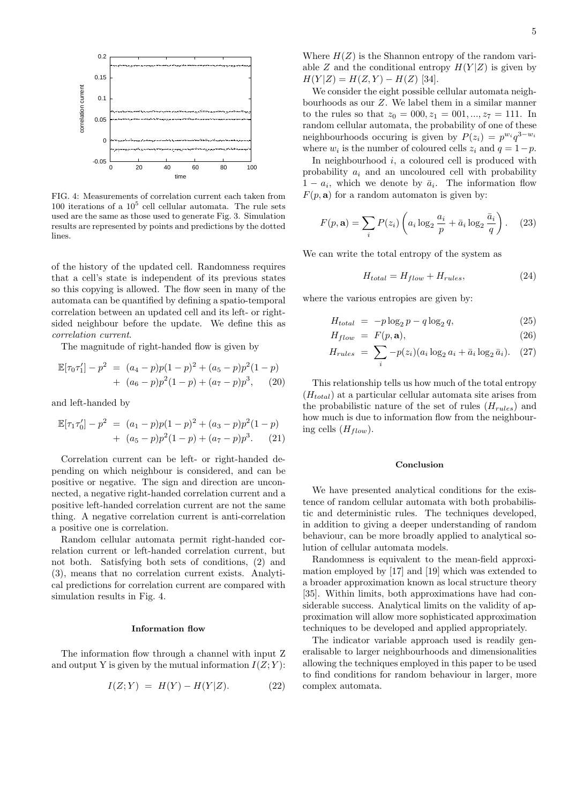

FIG. 4: Measurements of correlation current each taken from 100 iterations of a  $10^5$  cell cellular automata. The rule sets used are the same as those used to generate Fig. 3. Simulation results are represented by points and predictions by the dotted lines.

of the history of the updated cell. Randomness requires that a cell's state is independent of its previous states so this copying is allowed. The flow seen in many of the automata can be quantified by defining a spatio-temporal correlation between an updated cell and its left- or rightsided neighbour before the update. We define this as correlation current.

The magnitude of right-handed flow is given by

$$
\mathbb{E}[\tau_0 \tau'_1] - p^2 = (a_4 - p)p(1 - p)^2 + (a_5 - p)p^2(1 - p) + (a_6 - p)p^2(1 - p) + (a_7 - p)p^3, \quad (20)
$$

and left-handed by

$$
\mathbb{E}[\tau_1 \tau'_0] - p^2 = (a_1 - p)p(1 - p)^2 + (a_3 - p)p^2(1 - p) + (a_5 - p)p^2(1 - p) + (a_7 - p)p^3.
$$
 (21)

Correlation current can be left- or right-handed depending on which neighbour is considered, and can be positive or negative. The sign and direction are unconnected, a negative right-handed correlation current and a positive left-handed correlation current are not the same thing. A negative correlation current is anti-correlation a positive one is correlation.

Random cellular automata permit right-handed correlation current or left-handed correlation current, but not both. Satisfying both sets of conditions, (2) and (3), means that no correlation current exists. Analytical predictions for correlation current are compared with simulation results in Fig. 4.

#### Information flow

The information flow through a channel with input Z and output Y is given by the mutual information  $I(Z; Y)$ :

$$
I(Z;Y) = H(Y) - H(Y|Z).
$$
 (22)

Where  $H(Z)$  is the Shannon entropy of the random variable Z and the conditional entropy  $H(Y|Z)$  is given by  $H(Y|Z) = H(Z, Y) - H(Z)$  [34].

We consider the eight possible cellular automata neighbourhoods as our Z. We label them in a similar manner to the rules so that  $z_0 = 000, z_1 = 001, ..., z_7 = 111$ . In random cellular automata, the probability of one of these neighbourhoods occuring is given by  $P(z_i) = p^{w_i}q^{3-w_i}$ where  $w_i$  is the number of coloured cells  $z_i$  and  $q = 1-p$ .

In neighbourhood  $i$ , a coloured cell is produced with probability  $a_i$  and an uncoloured cell with probability  $1 - a_i$ , which we denote by  $\bar{a}_i$ . The information flow  $F(p, a)$  for a random automaton is given by:

$$
F(p, \mathbf{a}) = \sum_{i} P(z_i) \left( a_i \log_2 \frac{a_i}{p} + \bar{a}_i \log_2 \frac{\bar{a}_i}{q} \right). \quad (23)
$$

We can write the total entropy of the system as

$$
H_{total} = H_{flow} + H_{rules},\tag{24}
$$

where the various entropies are given by:

$$
H_{total} = -p \log_2 p - q \log_2 q,\tag{25}
$$

$$
H_{flow} = F(p, \mathbf{a}), \tag{26}
$$

$$
H_{rules} = \sum_{i} -p(z_i)(a_i \log_2 a_i + \bar{a}_i \log_2 \bar{a}_i). (27)
$$

This relationship tells us how much of the total entropy  $(H_{total})$  at a particular cellular automata site arises from the probabilistic nature of the set of rules  $(H_{rules})$  and how much is due to information flow from the neighbouring cells  $(H_{flow})$ .

### Conclusion

We have presented analytical conditions for the existence of random cellular automata with both probabilistic and deterministic rules. The techniques developed, in addition to giving a deeper understanding of random behaviour, can be more broadly applied to analytical solution of cellular automata models.

Randomness is equivalent to the mean-field approximation employed by [17] and [19] which was extended to a broader approximation known as local structure theory [35]. Within limits, both approximations have had considerable success. Analytical limits on the validity of approximation will allow more sophisticated approximation techniques to be developed and applied appropriately.

The indicator variable approach used is readily generalisable to larger neighbourhoods and dimensionalities allowing the techniques employed in this paper to be used to find conditions for random behaviour in larger, more complex automata.